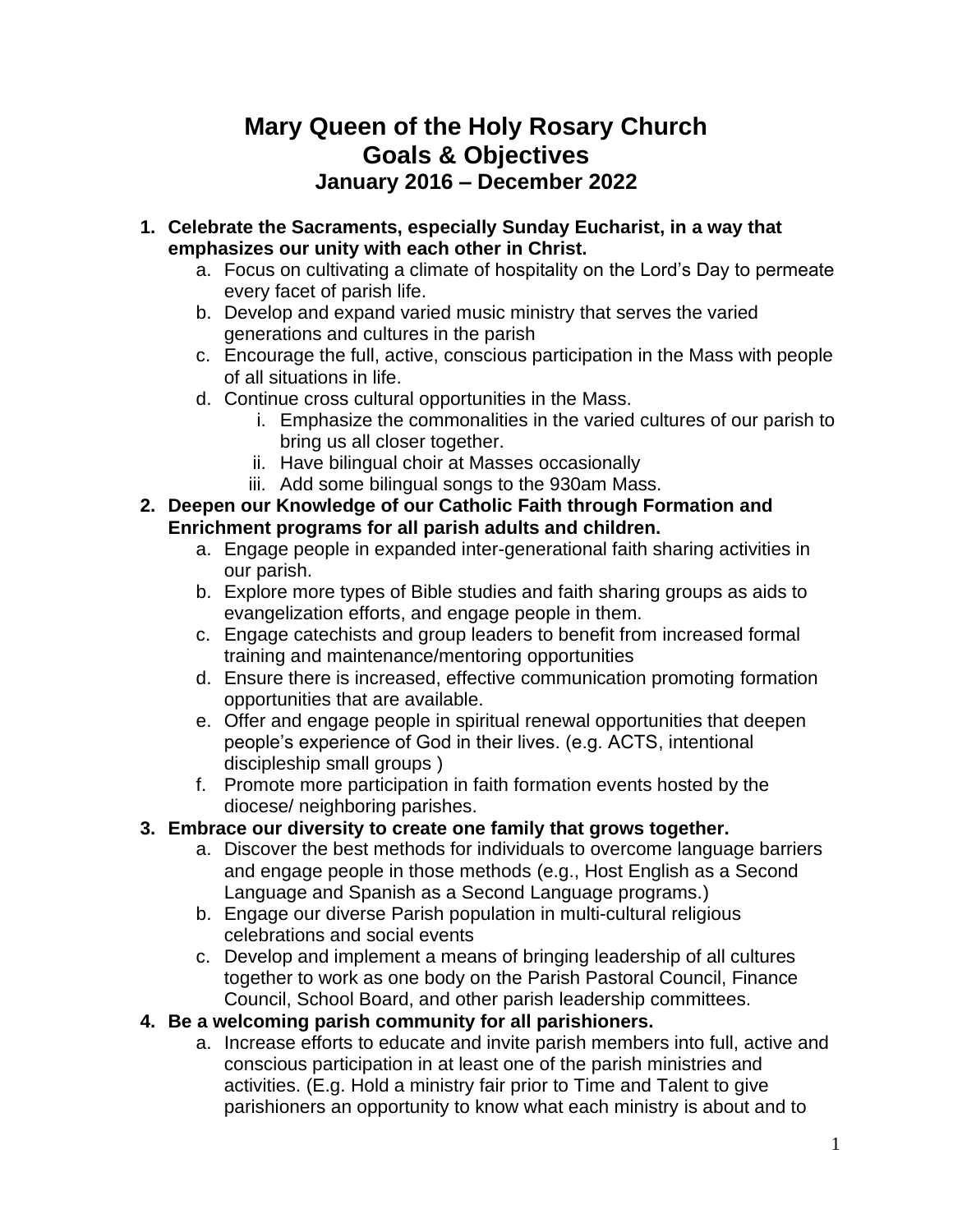# **Mary Queen of the Holy Rosary Church Goals & Objectives January 2016 – December 2022**

- **1. Celebrate the Sacraments, especially Sunday Eucharist, in a way that emphasizes our unity with each other in Christ.**
	- a. Focus on cultivating a climate of hospitality on the Lord's Day to permeate every facet of parish life.
	- b. Develop and expand varied music ministry that serves the varied generations and cultures in the parish
	- c. Encourage the full, active, conscious participation in the Mass with people of all situations in life.
	- d. Continue cross cultural opportunities in the Mass.
		- i. Emphasize the commonalities in the varied cultures of our parish to bring us all closer together.
		- ii. Have bilingual choir at Masses occasionally
		- iii. Add some bilingual songs to the 930am Mass.

#### **2. Deepen our Knowledge of our Catholic Faith through Formation and Enrichment programs for all parish adults and children.**

- a. Engage people in expanded inter-generational faith sharing activities in our parish.
- b. Explore more types of Bible studies and faith sharing groups as aids to evangelization efforts, and engage people in them.
- c. Engage catechists and group leaders to benefit from increased formal training and maintenance/mentoring opportunities
- d. Ensure there is increased, effective communication promoting formation opportunities that are available.
- e. Offer and engage people in spiritual renewal opportunities that deepen people's experience of God in their lives. (e.g. ACTS, intentional discipleship small groups )
- f. Promote more participation in faith formation events hosted by the diocese/ neighboring parishes.

## **3. Embrace our diversity to create one family that grows together.**

- a. Discover the best methods for individuals to overcome language barriers and engage people in those methods (e.g., Host English as a Second Language and Spanish as a Second Language programs.)
- b. Engage our diverse Parish population in multi-cultural religious celebrations and social events
- c. Develop and implement a means of bringing leadership of all cultures together to work as one body on the Parish Pastoral Council, Finance Council, School Board, and other parish leadership committees.

## **4. Be a welcoming parish community for all parishioners.**

a. Increase efforts to educate and invite parish members into full, active and conscious participation in at least one of the parish ministries and activities. (E.g. Hold a ministry fair prior to Time and Talent to give parishioners an opportunity to know what each ministry is about and to